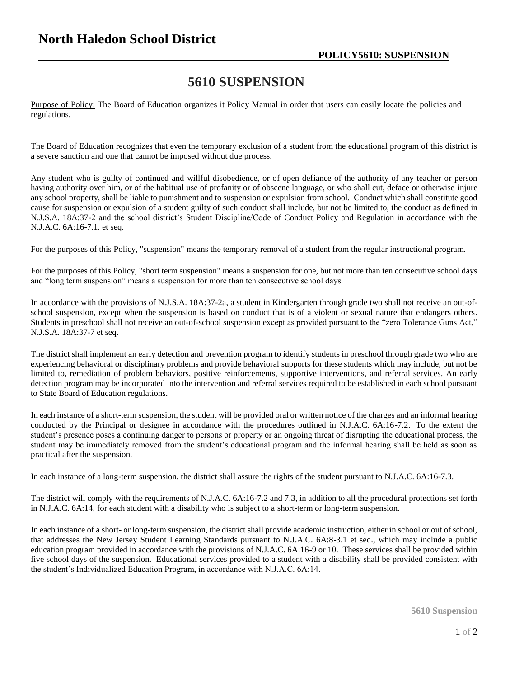## **5610 SUSPENSION**

Purpose of Policy: The Board of Education organizes it Policy Manual in order that users can easily locate the policies and regulations.

The Board of Education recognizes that even the temporary exclusion of a student from the educational program of this district is a severe sanction and one that cannot be imposed without due process.

Any student who is guilty of continued and willful disobedience, or of open defiance of the authority of any teacher or person having authority over him, or of the habitual use of profanity or of obscene language, or who shall cut, deface or otherwise injure any school property, shall be liable to punishment and to suspension or expulsion from school. Conduct which shall constitute good cause for suspension or expulsion of a student guilty of such conduct shall include, but not be limited to, the conduct as defined in N.J.S.A. 18A:37-2 and the school district's Student Discipline/Code of Conduct Policy and Regulation in accordance with the N.J.A.C. 6A:16-7.1. et seq.

For the purposes of this Policy, "suspension" means the temporary removal of a student from the regular instructional program.

For the purposes of this Policy, "short term suspension" means a suspension for one, but not more than ten consecutive school days and "long term suspension" means a suspension for more than ten consecutive school days.

In accordance with the provisions of N.J.S.A. 18A:37-2a, a student in Kindergarten through grade two shall not receive an out-ofschool suspension, except when the suspension is based on conduct that is of a violent or sexual nature that endangers others. Students in preschool shall not receive an out-of-school suspension except as provided pursuant to the "zero Tolerance Guns Act," N.J.S.A. 18A:37-7 et seq.

The district shall implement an early detection and prevention program to identify students in preschool through grade two who are experiencing behavioral or disciplinary problems and provide behavioral supports for these students which may include, but not be limited to, remediation of problem behaviors, positive reinforcements, supportive interventions, and referral services. An early detection program may be incorporated into the intervention and referral services required to be established in each school pursuant to State Board of Education regulations.

In each instance of a short-term suspension, the student will be provided oral or written notice of the charges and an informal hearing conducted by the Principal or designee in accordance with the procedures outlined in N.J.A.C. 6A:16-7.2. To the extent the student's presence poses a continuing danger to persons or property or an ongoing threat of disrupting the educational process, the student may be immediately removed from the student's educational program and the informal hearing shall be held as soon as practical after the suspension.

In each instance of a long-term suspension, the district shall assure the rights of the student pursuant to N.J.A.C. 6A:16-7.3.

The district will comply with the requirements of N.J.A.C. 6A:16-7.2 and 7.3, in addition to all the procedural protections set forth in N.J.A.C. 6A:14, for each student with a disability who is subject to a short-term or long-term suspension.

In each instance of a short- or long-term suspension, the district shall provide academic instruction, either in school or out of school, that addresses the New Jersey Student Learning Standards pursuant to N.J.A.C. 6A:8-3.1 et seq., which may include a public education program provided in accordance with the provisions of N.J.A.C. 6A:16-9 or 10. These services shall be provided within five school days of the suspension. Educational services provided to a student with a disability shall be provided consistent with the student's Individualized Education Program, in accordance with N.J.A.C. 6A:14.

**5610 Suspension**